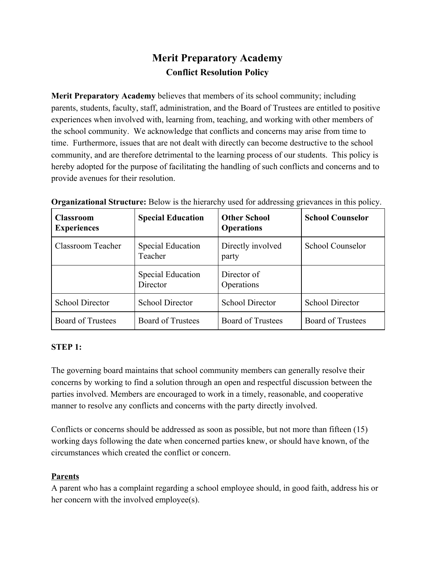# **Merit Preparatory Academy Conflict Resolution Policy**

**Merit Preparatory Academy** believes that members of its school community; including parents, students, faculty, staff, administration, and the Board of Trustees are entitled to positive experiences when involved with, learning from, teaching, and working with other members of the school community. We acknowledge that conflicts and concerns may arise from time to time. Furthermore, issues that are not dealt with directly can become destructive to the school community, and are therefore detrimental to the learning process of our students. This policy is hereby adopted for the purpose of facilitating the handling of such conflicts and concerns and to provide avenues for their resolution.

| <b>Classroom</b><br><b>Experiences</b> | <b>Special Education</b>             | <b>Other School</b><br><b>Operations</b> | <b>School Counselor</b>  |
|----------------------------------------|--------------------------------------|------------------------------------------|--------------------------|
| Classroom Teacher                      | Special Education<br>Teacher         | Directly involved<br>party               | School Counselor         |
|                                        | <b>Special Education</b><br>Director | Director of<br>Operations                |                          |
| <b>School Director</b>                 | <b>School Director</b>               | <b>School Director</b>                   | <b>School Director</b>   |
| <b>Board of Trustees</b>               | <b>Board of Trustees</b>             | <b>Board of Trustees</b>                 | <b>Board of Trustees</b> |

**Organizational Structure:** Below is the hierarchy used for addressing grievances in this policy.

# **STEP 1:**

The governing board maintains that school community members can generally resolve their concerns by working to find a solution through an open and respectful discussion between the parties involved. Members are encouraged to work in a timely, reasonable, and cooperative manner to resolve any conflicts and concerns with the party directly involved.

Conflicts or concerns should be addressed as soon as possible, but not more than fifteen (15) working days following the date when concerned parties knew, or should have known, of the circumstances which created the conflict or concern.

# **Parents**

A parent who has a complaint regarding a school employee should, in good faith, address his or her concern with the involved employee(s).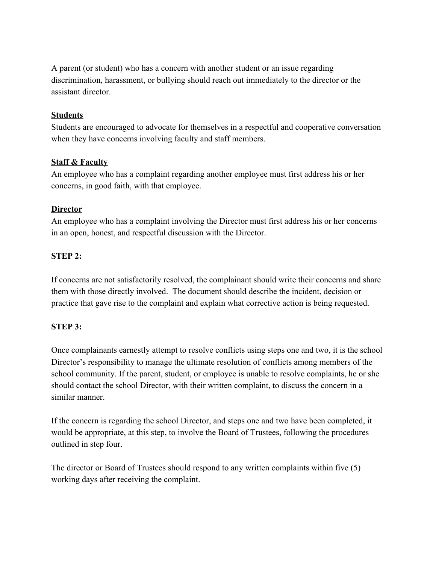A parent (or student) who has a concern with another student or an issue regarding discrimination, harassment, or bullying should reach out immediately to the director or the assistant director.

## **Students**

Students are encouraged to advocate for themselves in a respectful and cooperative conversation when they have concerns involving faculty and staff members.

## **Staff & Faculty**

An employee who has a complaint regarding another employee must first address his or her concerns, in good faith, with that employee.

## **Director**

An employee who has a complaint involving the Director must first address his or her concerns in an open, honest, and respectful discussion with the Director.

## **STEP 2:**

If concerns are not satisfactorily resolved, the complainant should write their concerns and share them with those directly involved. The document should describe the incident, decision or practice that gave rise to the complaint and explain what corrective action is being requested.

## **STEP 3:**

Once complainants earnestly attempt to resolve conflicts using steps one and two, it is the school Director's responsibility to manage the ultimate resolution of conflicts among members of the school community. If the parent, student, or employee is unable to resolve complaints, he or she should contact the school Director, with their written complaint, to discuss the concern in a similar manner.

If the concern is regarding the school Director, and steps one and two have been completed, it would be appropriate, at this step, to involve the Board of Trustees, following the procedures outlined in step four.

The director or Board of Trustees should respond to any written complaints within five (5) working days after receiving the complaint.